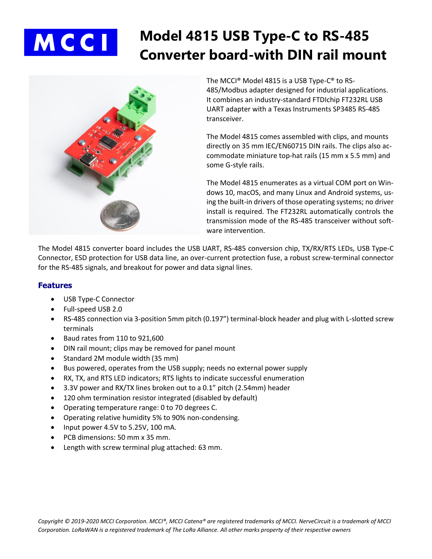

# **Model 4815 USB Type-C to RS-485 Converter board-with DIN rail mount**



The MCCI® Model 4815 is a USB Type-C® to RS-485/Modbus adapter designed for industrial applications. It combines an industry-standard FTDIchip FT232RL USB UART adapter with a Texas Instruments SP3485 RS-485 transceiver.

The Model 4815 comes assembled with clips, and mounts directly on 35 mm IEC/EN60715 DIN rails. The clips also accommodate miniature top-hat rails (15 mm x 5.5 mm) and some G-style rails.

The Model 4815 enumerates as a virtual COM port on Windows 10, macOS, and many Linux and Android systems, using the built-in drivers of those operating systems; no driver install is required. The FT232RL automatically controls the transmission mode of the RS-485 transceiver without software intervention.

The Model 4815 converter board includes the USB UART, RS-485 conversion chip, TX/RX/RTS LEDs, USB Type-C Connector, ESD protection for USB data line, an over-current protection fuse, a robust screw-terminal connector for the RS-485 signals, and breakout for power and data signal lines.

#### **Features**

- USB Type-C Connector
- Full-speed USB 2.0
- RS-485 connection via 3-position 5mm pitch (0.197") terminal-block header and plug with L-slotted screw terminals
- Baud rates from 110 to 921,600
- DIN rail mount; clips may be removed for panel mount
- Standard 2M module width (35 mm)
- Bus powered, operates from the USB supply; needs no external power supply
- RX, TX, and RTS LED indicators; RTS lights to indicate successful enumeration
- 3.3V power and RX/TX lines broken out to a 0.1" pitch (2.54mm) header
- 120 ohm termination resistor integrated (disabled by default)
- Operating temperature range: 0 to 70 degrees C.
- Operating relative humidity 5% to 90% non-condensing.
- Input power 4.5V to 5.25V, 100 mA.
- PCB dimensions: 50 mm x 35 mm.
- Length with screw terminal plug attached: 63 mm.